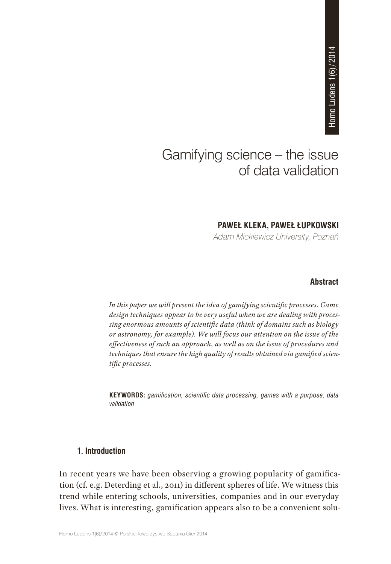# Gamifying science – the issue of data validation **PAWEŁ KLEKA, PAWEŁ ŁUPKOWSKI**<br>PAWEŁ KLEKA, PAWEŁ ŁUPKOWSKI<br>PAWEŁ KLEKA, PAWEŁ ŁUPKOWSKI

*Adam Mickiewicz University, Poznań*

# **Abstract**

*In this paper we will present the idea of gamifying scientific processes. Game design techniques appear to be very useful when we are dealing with processing enormous amounts of scientific data (think of domains such as biology or astronomy, for example). We will focus our attention on the issue of the effectiveness of such an approach, as well as on the issue of procedures and techniques that ensure the high quality of results obtained via gamified scientific processes.*

**KEYWORDS:** *gamification, scientific data processing, games with a purpose, data validation*

## **1. Introduction**

In recent years we have been observing a growing popularity of gamification (cf. e.g. Deterding et al., 2011) in different spheres of life. We witness this trend while entering schools, universities, companies and in our everyday lives. What is interesting, gamification appears also to be a convenient solu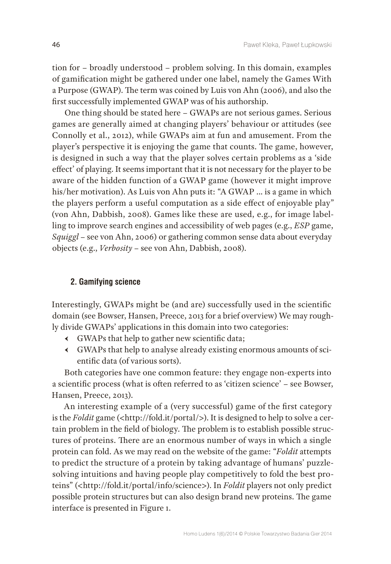tion for – broadly understood – problem solving. In this domain, examples of gamification might be gathered under one label, namely the Games With a Purpose (GWAP). The term was coined by Luis von Ahn (2006), and also the first successfully implemented GWAP was of his authorship.

One thing should be stated here – GWAPs are not serious games. Serious games are generally aimed at changing players' behaviour or attitudes (see Connolly et al., 2012), while GWAPs aim at fun and amusement. From the player's perspective it is enjoying the game that counts. The game, however, is designed in such a way that the player solves certain problems as a 'side effect' of playing. It seems important that it is not necessary for the player to be aware of the hidden function of a GWAP game (however it might improve his/her motivation). As Luis von Ahn puts it: "A GWAP … is a game in which the players perform a useful computation as a side effect of enjoyable play" (von Ahn, Dabbish, 2008). Games like these are used, e.g., for image labelling to improve search engines and accessibility of web pages (e.g., *ESP* game, *Squiggl* – see von Ahn, 2006) or gathering common sense data about everyday objects (e.g., *Verbosity* – see von Ahn, Dabbish, 2008).

# **2. Gamifying science**

Interestingly, GWAPs might be (and are) successfully used in the scientific domain (see Bowser, Hansen, Preece, 2013 for a brief overview) We may roughly divide GWAPs' applications in this domain into two categories:

- Ԁ GWAPs that help to gather new scientific data;
- Ԁ GWAPs that help to analyse already existing enormous amounts of scientific data (of various sorts).

Both categories have one common feature: they engage non-experts into a scientific process (what is often referred to as 'citizen science' – see Bowser, Hansen, Preece, 2013).

An interesting example of a (very successful) game of the first category is the *Foldit* game ([<http://fold.it/portal/>](http://fold.it/portal/)). It is designed to help to solve a certain problem in the field of biology. The problem is to establish possible structures of proteins. There are an enormous number of ways in which a single protein can fold. As we may read on the website of the game: "*Foldit* attempts to predict the structure of a protein by taking advantage of humans' puzzlesolving intuitions and having people play competitively to fold the best proteins" ([<http://fold.it/portal/info/science](http://fold.it/portal/info/science)>). In *Foldit* players not only predict possible protein structures but can also design brand new proteins. The game interface is presented in Figure 1.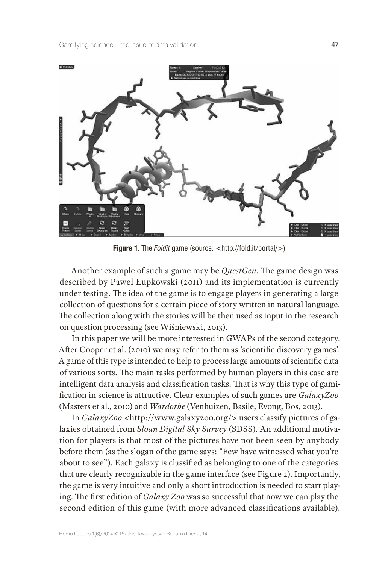

**Figure 1.** The *Foldit* game (source: [<http://fold.it/portal/>](http://fold.it/portal/))

Another example of such a game may be *QuestGen*. The game design was described by Paweł Łupkowski (2011) and its implementation is currently under testing. The idea of the game is to engage players in generating a large collection of questions for a certain piece of story written in natural language. The collection along with the stories will be then used as input in the research on question processing (see Wiśniewski, 2013).

In this paper we will be more interested in GWAPs of the second category. After Cooper et al. (2010) we may refer to them as 'scientific discovery games'. A game of this type is intended to help to process large amounts of scientific data of various sorts. The main tasks performed by human players in this case are intelligent data analysis and classification tasks. That is why this type of gamification in science is attractive. Clear examples of such games are *GalaxyZoo* (Masters et al., 2010) and *Wardorbe* (Venhuizen, Basile, Evong, Bos, 2013).

In *GalaxyZoo* [<http://www.galaxyzoo.org/>](http://www.galaxyzoo.org/) users classify pictures of galaxies obtained from *Sloan Digital Sky Survey* (SDSS). An additional motivation for players is that most of the pictures have not been seen by anybody before them (as the slogan of the game says: "Few have witnessed what you're about to see"). Each galaxy is classified as belonging to one of the categories that are clearly recognizable in the game interface (see Figure 2). Importantly, the game is very intuitive and only a short introduction is needed to start playing. The first edition of *Galaxy Zoo* was so successful that now we can play the second edition of this game (with more advanced classifications available).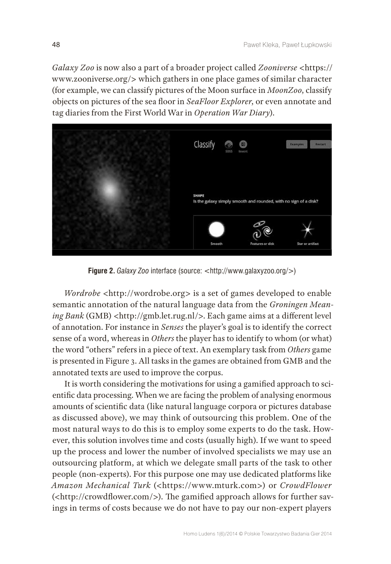*Galaxy Zoo* is now also a part of a broader project called *Zooniverse* <[https://](https://www.zooniverse.org/) [www.zooniverse.org/>](https://www.zooniverse.org/) which gathers in one place games of similar character (for example, we can classify pictures of the Moon surface in *MoonZoo*, classify objects on pictures of the sea floor in *SeaFloor Explorer*, or even annotate and tag diaries from the First World War in *Operation War Diary*).



**Figure 2.** *Galaxy Zoo* interface (source: [<http://www.galaxyzoo.org/](http://www.galaxyzoo.org/)>)

*Wordrobe* <[http://wordrobe.org>](http://wordrobe.org/) is a set of games developed to enable semantic annotation of the natural language data from the *Groningen Meaning Bank* (GMB) [<http://gmb.let.rug.nl/](http://gmb.let.rug.nl/)>. Each game aims at a different level of annotation. For instance in *Senses* the player's goal is to identify the correct sense of a word, whereas in *Others* the player has to identify to whom (or what) the word "others" refers in a piece of text. An exemplary task from *Others* game is presented in Figure 3. All tasks in the games are obtained from GMB and the annotated texts are used to improve the corpus.

It is worth considering the motivations for using a gamified approach to scientific data processing. When we are facing the problem of analysing enormous amounts of scientific data (like natural language corpora or pictures database as discussed above), we may think of outsourcing this problem. One of the most natural ways to do this is to employ some experts to do the task. However, this solution involves time and costs (usually high). If we want to speed up the process and lower the number of involved specialists we may use an outsourcing platform, at which we delegate small parts of the task to other people (non-experts). For this purpose one may use dedicated platforms like *Amazon Mechanical Turk* (<[https://www.mturk.com>](https://www.mturk.com/)) or *CrowdFlower* (<[http://crowdflower.com/>](http://crowdflower.com/)). The gamified approach allows for further savings in terms of costs because we do not have to pay our non-expert players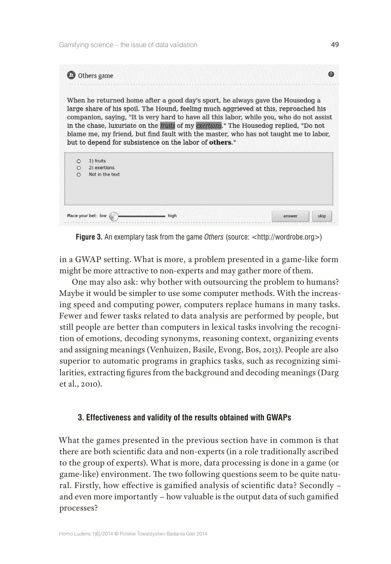

**Figure 3.** An exemplary task from the game *Others* (source: [<http://wordrobe.org>](http://wordrobe.org/))

in a GWAP setting. What is more, a problem presented in a game-like form might be more attractive to non-experts and may gather more of them.

One may also ask: why bother with outsourcing the problem to humans? Maybe it would be simpler to use some computer methods. With the increasing speed and computing power, computers replace humans in many tasks. Fewer and fewer tasks related to data analysis are performed by people, but still people are better than computers in lexical tasks involving the recognition of emotions, decoding synonyms, reasoning context, organizing events and assigning meanings (Venhuizen, Basile, Evong, Bos, 2013). People are also superior to automatic programs in graphics tasks, such as recognizing similarities, extracting figures from the background and decoding meanings (Darg et al., 2010).

# **3. Effectiveness and validity of the results obtained with GWAPs**

What the games presented in the previous section have in common is that there are both scientific data and non-experts (in a role traditionally ascribed to the group of experts). What is more, data processing is done in a game (or game-like) environment. The two following questions seem to be quite natural. Firstly, how effective is gamified analysis of scientific data? Secondly – and even more importantly – how valuable is the output data of such gamified processes?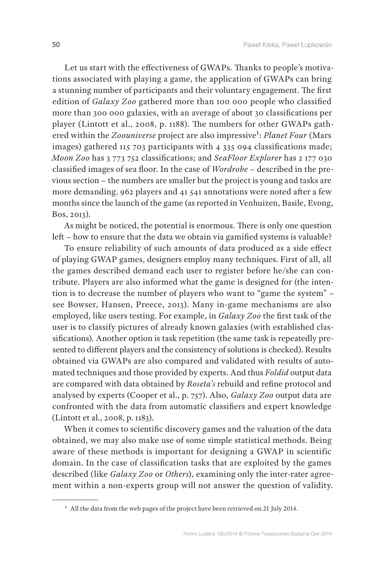Let us start with the effectiveness of GWAPs. Thanks to people's motivations associated with playing a game, the application of GWAPs can bring a stunning number of participants and their voluntary engagement. The first edition of *Galaxy Zoo* gathered more than 100 000 people who classified more than 300 000 galaxies, with an average of about 30 classifications per player (Lintott et al., 2008, p. 1188). The numbers for other GWAPs gathered within the *Zoouniverse* project are also impressive<sup>1</sup>: *Planet Four* (Mars images) gathered 115 703 participants with 4 335 094 classifications made; *Moon Zoo* has 3 773 752 classifications; and *SeaFloor Explorer* has 2 177 030 classified images of sea floor. In the case of *Wordrobe* – described in the previous section – the numbers are smaller but the project is young and tasks are more demanding. 962 players and 41 541 annotations were noted after a few months since the launch of the game (as reported in Venhuizen, Basile, Evong, Bos, 2013).

As might be noticed, the potential is enormous. There is only one question left – how to ensure that the data we obtain via gamified systems is valuable?

To ensure reliability of such amounts of data produced as a side effect of playing GWAP games, designers employ many techniques. First of all, all the games described demand each user to register before he/she can contribute. Players are also informed what the game is designed for (the intention is to decrease the number of players who want to "game the system" – see Bowser, Hansen, Preece, 2013). Many in-game mechanisms are also employed, like users testing. For example, in *Galaxy Zoo* the first task of the user is to classify pictures of already known galaxies (with established classifications). Another option is task repetition (the same task is repeatedly presented to different players and the consistency of solutions is checked). Results obtained via GWAPs are also compared and validated with results of automated techniques and those provided by experts. And thus *Foldid* output data are compared with data obtained by *Roseta's* rebuild and refine protocol and analysed by experts (Cooper et al., p. 757). Also, *Galaxy Zoo* output data are confronted with the data from automatic classifiers and expert knowledge (Lintott et al., 2008, p. 1183).

When it comes to scientific discovery games and the valuation of the data obtained, we may also make use of some simple statistical methods. Being aware of these methods is important for designing a GWAP in scientific domain. In the case of classification tasks that are exploited by the games described (like *Galaxy Zoo* or *Others*), examining only the inter-rater agreement within a non-experts group will not answer the question of validity.

**<sup>1</sup>** All the data from the web pages of the project have been retrieved on 21 July 2014.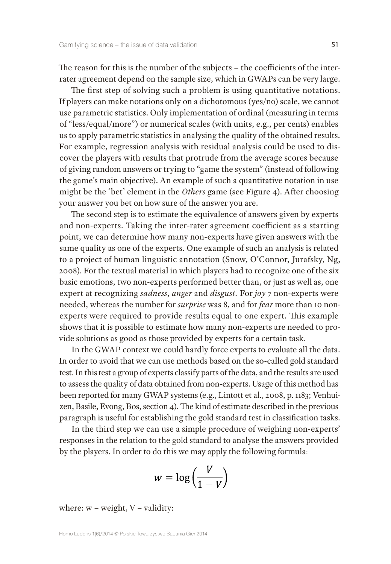The reason for this is the number of the subjects – the coefficients of the interrater agreement depend on the sample size, which in GWAPs can be very large.

The first step of solving such a problem is using quantitative notations. If players can make notations only on a dichotomous (yes/no) scale, we cannot use parametric statistics. Only implementation of ordinal (measuring in terms of "less/equal/more") or numerical scales (with units, e.g., per cents) enables us to apply parametric statistics in analysing the quality of the obtained results. For example, regression analysis with residual analysis could be used to discover the players with results that protrude from the average scores because of giving random answers or trying to "game the system" (instead of following the game's main objective). An example of such a quantitative notation in use might be the 'bet' element in the *Others* game (see Figure 4). After choosing your answer you bet on how sure of the answer you are.

The second step is to estimate the equivalence of answers given by experts and non-experts. Taking the inter-rater agreement coefficient as a starting point, we can determine how many non-experts have given answers with the same quality as one of the experts. One example of such an analysis is related to a project of human linguistic annotation (Snow, O'Connor, Jurafsky, Ng, 2008). For the textual material in which players had to recognize one of the six basic emotions, two non-experts performed better than, or just as well as, one expert at recognizing *sadness*, *anger* and *disgust.* For *joy* 7 non-experts were needed, whereas the number for *surprise* was 8, and for *fear* more than 10 nonexperts were required to provide results equal to one expert. This example shows that it is possible to estimate how many non-experts are needed to provide solutions as good as those provided by experts for a certain task.

In the GWAP context we could hardly force experts to evaluate all the data. In order to avoid that we can use methods based on the so-called gold standard test. In this test a group of experts classify parts of the data, and the results are used to assess the quality of data obtained from non-experts. Usage of this method has been reported for many GWAP systems (e.g., Lintott et al., 2008, p. 1183; Venhuizen, Basile, Evong, Bos, section 4). The kind of estimate described in the previous paragraph is useful for establishing the gold standard test in classification tasks.

In the third step we can use a simple procedure of weighing non-experts' responses in the relation to the gold standard to analyse the answers provided by the players. In order to do this we may apply the following formula:

$$
w = \log\left(\frac{V}{1 - V}\right)
$$

where:  $w$  – weight,  $V$  – validity: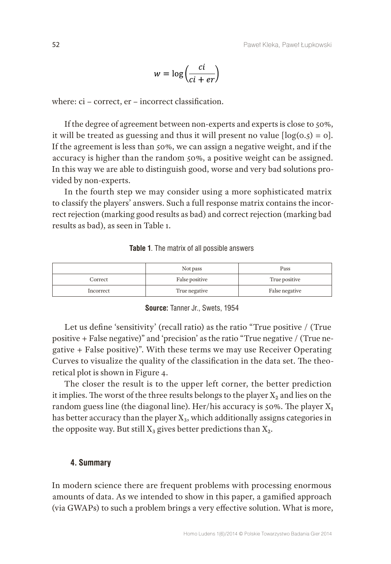$$
w = \log\left(\frac{ci}{ci + er}\right)
$$

where: ci – correct, er – incorrect classification.

If the degree of agreement between non-experts and experts is close to 50%, it will be treated as guessing and thus it will present no value  $[log(0.5) = 0]$ . If the agreement is less than 50%, we can assign a negative weight, and if the accuracy is higher than the random 50%, a positive weight can be assigned. In this way we are able to distinguish good, worse and very bad solutions provided by non-experts.

In the fourth step we may consider using a more sophisticated matrix to classify the players' answers. Such a full response matrix contains the incorrect rejection (marking good results as bad) and correct rejection (marking bad results as bad), as seen in Table 1.

|           | Not pass       | Pass           |
|-----------|----------------|----------------|
| Correct   | False positive | True positive  |
| Incorrect | True negative  | False negative |

#### **Table 1**. The matrix of all possible answers

### **Source:** Tanner Jr., Swets, 1954

Let us define 'sensitivity' (recall ratio) as the ratio "True positive / (True positive + False negative)" and 'precision' as the ratio "True negative / (True negative + False positive)". With these terms we may use Receiver Operating Curves to visualize the quality of the classification in the data set. The theoretical plot is shown in Figure 4.

The closer the result is to the upper left corner, the better prediction it implies. The worst of the three results belongs to the player  $X_2$  and lies on the random guess line (the diagonal line). Her/his accuracy is 50%. The player  $X_1$ has better accuracy than the player  $X_3$ , which additionally assigns categories in the opposite way. But still  $X_3$  gives better predictions than  $X_2$ .

# **4. Summary**

In modern science there are frequent problems with processing enormous amounts of data. As we intended to show in this paper, a gamified approach (via GWAPs) to such a problem brings a very effective solution. What is more,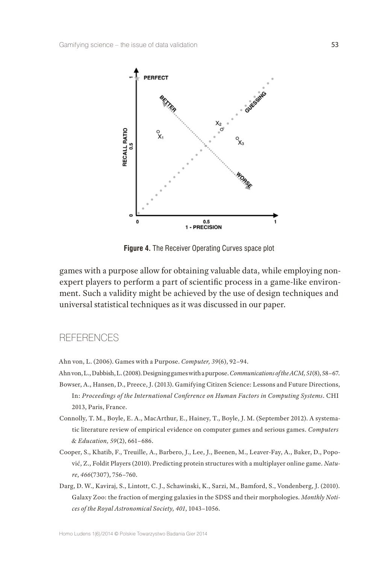

**Figure 4.** The Receiver Operating Curves space plot

games with a purpose allow for obtaining valuable data, while employing nonexpert players to perform a part of scientific process in a game-like environment. Such a validity might be achieved by the use of design techniques and universal statistical techniques as it was discussed in our paper.

# **RFFERENCES**

- Ahn von, L. (2006). Games with a Purpose. *Computer, 39*(6), 92–94.
- Ahn von, L., Dabbish, L. (2008). Designing games with a purpose. *Communications of the ACM,51*(8), 58–67.
- Bowser, A., Hansen, D., Preece, J. (2013). Gamifying Citizen Science: Lessons and Future Directions, In: *Proceedings of the International Conference on Human Factors in Computing Systems*. CHI 2013, Paris, France.
- Connolly, T. M., Boyle, E. A., MacArthur, E., Hainey, T., Boyle, J. M. (September 2012). A systematic literature review of empirical evidence on computer games and serious games. *Computers & Education, 59*(2), 661–686.
- Cooper, S., Khatib, F., Treuille, A., Barbero, J., Lee, J., Beenen, M., Leaver-Fay, A., Baker, D., Popović, Z., Foldit Players (2010). Predicting protein structures with a multiplayer online game. *Nature*, *466*(7307), 756–760.
- Darg, D. W., Kaviraj, S., Lintott, C. J., Schawinski, K., Sarzi, M., Bamford, S., Vondenberg, J. (2010). Galaxy Zoo: the fraction of merging galaxies in the SDSS and their morphologies. *Monthly Notices of the Royal Astronomical Society, 401*, 1043–1056.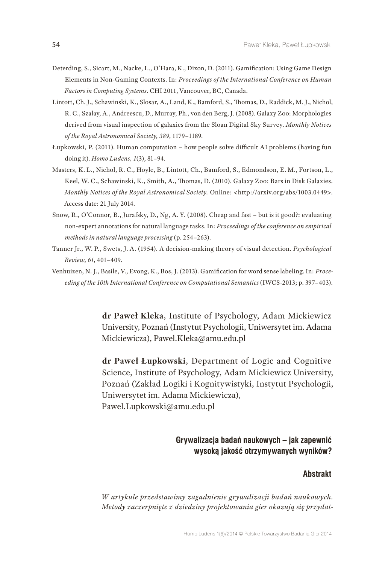- Deterding, S., Sicart, M., Nacke, L., O'Hara, K., Dixon, D. (2011). Gamification: Using Game Design Elements in Non-Gaming Contexts. In: *Proceedings of the International Conference on Human Factors in Computing Systems*. CHI 2011, Vancouver, BC, Canada.
- Lintott, Ch. J., Schawinski, K., Slosar, A., Land, K., Bamford, S., Thomas, D., Raddick, M. J., Nichol, R. C., Szalay, A., Andreescu, D., Murray, Ph., von den Berg, J. (2008). Galaxy Zoo: Morphologies derived from visual inspection of galaxies from the Sloan Digital Sky Survey. *Monthly Notices of the Royal Astronomical Society, 389*, 1179–1189.
- Łupkowski, P. (2011). Human computation how people solve difficult AI problems (having fun doing it). *Homo Ludens, 1*(3), 81–94.
- Masters, K. L., Nichol, R. C., Hoyle, B., Lintott, Ch., Bamford, S., Edmondson, E. M., Fortson, L., Keel, W. C., Schawinski, K., Smith, A., Thomas, D. (2010). Galaxy Zoo: Bars in Disk Galaxies. *Monthly Notices of the Royal Astronomical Society.* Online: <<http://arxiv.org/abs/1003.0449>>. Access date: 21 July 2014.
- Snow, R., O'Connor, B., Jurafsky, D., Ng, A. Y. (2008). Cheap and fast but is it good?: evaluating non-expert annotations for natural language tasks. In: *Proceedings of the conference on empirical methods in natural language processing* (p. 254–263).
- Tanner Jr., W. P., Swets, J. A. (1954). A decision-making theory of visual detection*. Psychological Review, 61*, 401–409.
- Venhuizen, N. J., Basile, V., Evong, K., Bos, J. (2013). Gamification for word sense labeling. In: *Proceeding of the 10th International Conference on Computational Semantics* (IWCS-2013; p. 397–403).

**dr Paweł Kleka**, Institute of Psychology, Adam Mickiewicz University, Poznań (Instytut Psychologii, Uniwersytet im. Adama Mickiewicza), [Pawel.Kleka@amu.edu.pl](mailto:Pawel.Kleka@amu.edu.pl)

**dr Paweł Łupkowski**, Department of Logic and Cognitive Science, Institute of Psychology, Adam Mickiewicz University, Poznań (Zakład Logiki i Kognitywistyki, Instytut Psychologii, Uniwersytet im. Adama Mickiewicza), [Pawel.Lupkowski@amu.edu.pl](mailto:Pawel.Lupkowski@amu.edu.pl)

# **Grywalizacja badań naukowych – jak zapewnić wysoką jakość otrzymywanych wyników?**

#### **Abstrakt**

*W artykule przedstawimy zagadnienie grywalizacji badań naukowych. Metody zaczerpnięte z dziedziny projektowania gier okazują się przydat-*